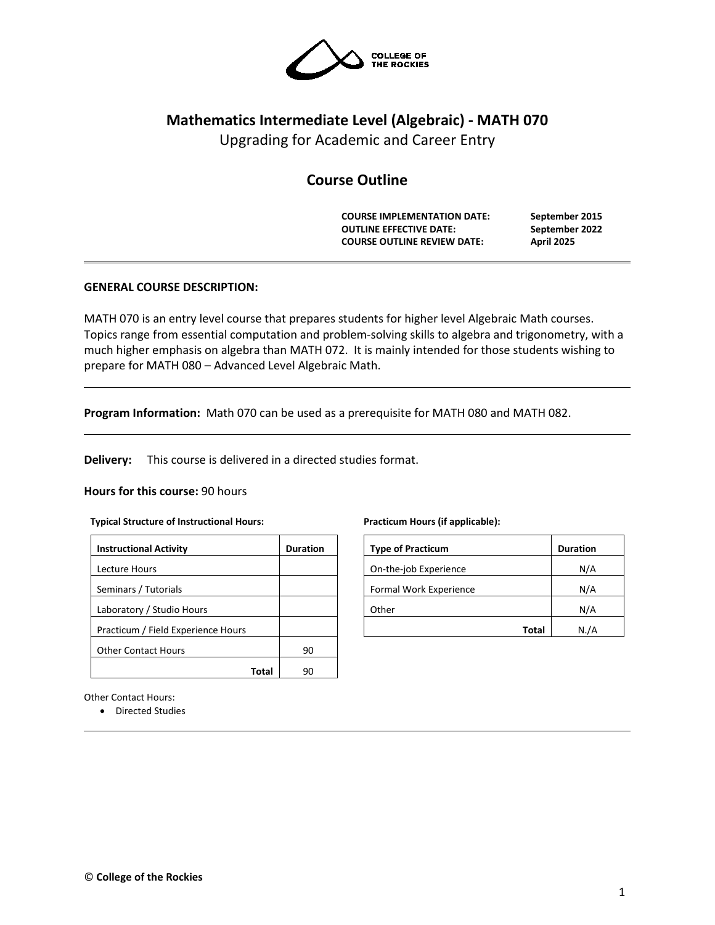

# **Mathematics Intermediate Level (Algebraic) - MATH 070**

Upgrading for Academic and Career Entry

# **Course Outline**

**COURSE IMPLEMENTATION DATE: September 2015 OUTLINE EFFECTIVE DATE: September 2022 COURSE OUTLINE REVIEW DATE: April 2025**

# **GENERAL COURSE DESCRIPTION:**

MATH 070 is an entry level course that prepares students for higher level Algebraic Math courses. Topics range from essential computation and problem-solving skills to algebra and trigonometry, with a much higher emphasis on algebra than MATH 072. It is mainly intended for those students wishing to prepare for MATH 080 – Advanced Level Algebraic Math.

**Program Information:** Math 070 can be used as a prerequisite for MATH 080 and MATH 082.

**Delivery:** This course is delivered in a directed studies format.

#### **Hours for this course:** 90 hours

#### **Typical Structure of Instructional Hours:**

| <b>Instructional Activity</b>      | <b>Duration</b> |  |  |
|------------------------------------|-----------------|--|--|
| Lecture Hours                      |                 |  |  |
| Seminars / Tutorials               |                 |  |  |
| Laboratory / Studio Hours          |                 |  |  |
| Practicum / Field Experience Hours |                 |  |  |
| <b>Other Contact Hours</b>         | 90              |  |  |
| Tota                               |                 |  |  |

#### **Practicum Hours (if applicable):**

| <b>Type of Practicum</b> | <b>Duration</b> |
|--------------------------|-----------------|
| On-the-job Experience    | N/A             |
| Formal Work Experience   | N/A             |
| Other                    | N/A             |
| Total                    | N./A            |

Other Contact Hours:

• Directed Studies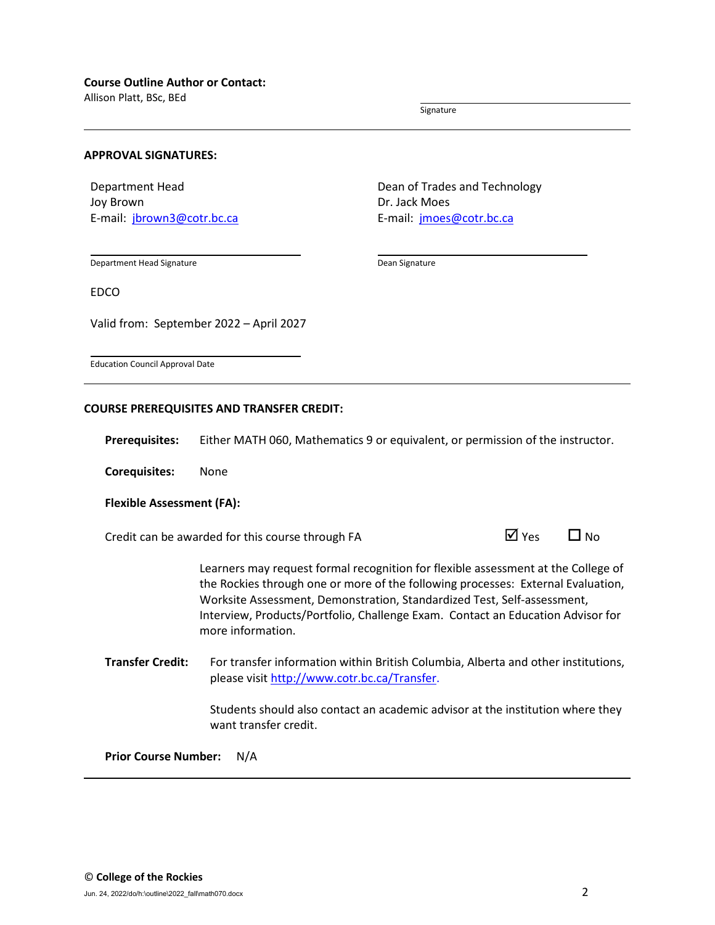Allison Platt, BSc, BEd

Signature

#### **APPROVAL SIGNATURES:**

Department Head Joy Brown E-mail: [jbrown3@cotr.bc.ca](mailto:jbrown3@cotr.bc.ca) Dean of Trades and Technology Dr. Jack Moes E-mail: *[jmoes@cotr.bc.ca](mailto:jmoes@cotr.bc.ca)* 

Department Head Signature

Dean Signature

EDCO

Valid from: September 2022 – April 2027

Education Council Approval Date

#### **COURSE PREREQUISITES AND TRANSFER CREDIT:**

**Prerequisites:** Either MATH 060, Mathematics 9 or equivalent, or permission of the instructor.

**Corequisites:** None

#### **Flexible Assessment (FA):**

Credit can be awarded for this course through FA  $\Box$  Yes  $\Box$  No

Learners may request formal recognition for flexible assessment at the College of the Rockies through one or more of the following processes: External Evaluation, Worksite Assessment, Demonstration, Standardized Test, Self-assessment, Interview, Products/Portfolio, Challenge Exam. Contact an Education Advisor for more information.

**Transfer Credit:** For transfer information within British Columbia, Alberta and other institutions, please visit [http://www.cotr.bc.ca/Transfer.](http://www.cotr.bc.ca/Transfer)

> Students should also contact an academic advisor at the institution where they want transfer credit.

**Prior Course Number:** N/A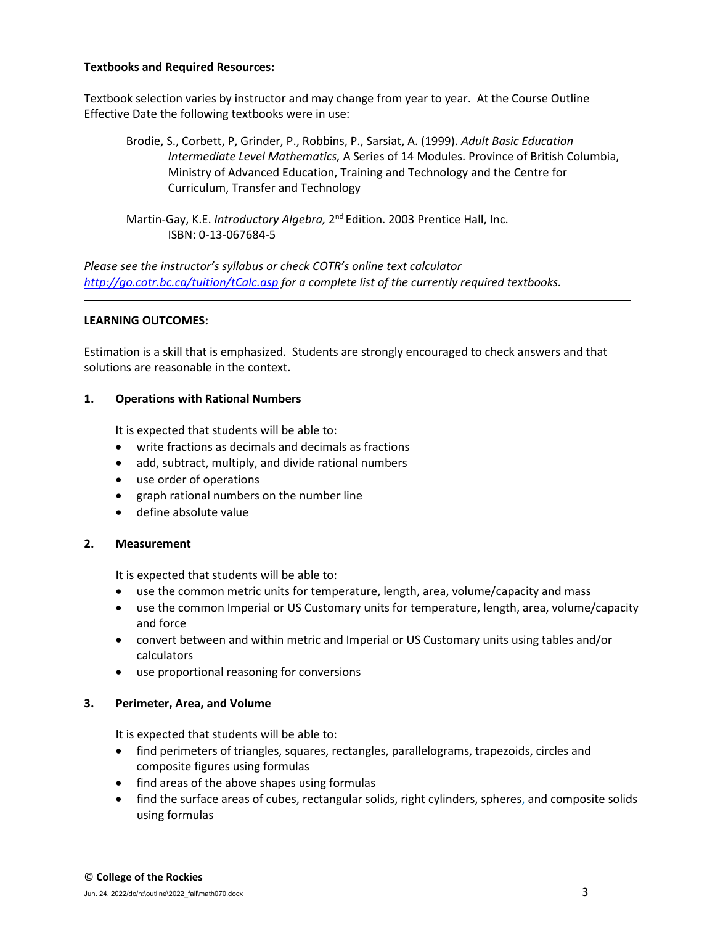#### **Textbooks and Required Resources:**

Textbook selection varies by instructor and may change from year to year. At the Course Outline Effective Date the following textbooks were in use:

Brodie, S., Corbett, P, Grinder, P., Robbins, P., Sarsiat, A. (1999). *Adult Basic Education Intermediate Level Mathematics,* A Series of 14 Modules. Province of British Columbia, Ministry of Advanced Education, Training and Technology and the Centre for Curriculum, Transfer and Technology

Martin-Gay, K.E. *Introductory Algebra,* 2nd Edition. 2003 Prentice Hall, Inc. ISBN: 0-13-067684-5

*Please see the instructor's syllabus or check COTR's online text calculator <http://go.cotr.bc.ca/tuition/tCalc.asp> for a complete list of the currently required textbooks.*

#### **LEARNING OUTCOMES:**

Estimation is a skill that is emphasized. Students are strongly encouraged to check answers and that solutions are reasonable in the context.

#### **1. Operations with Rational Numbers**

It is expected that students will be able to:

- write fractions as decimals and decimals as fractions
- add, subtract, multiply, and divide rational numbers
- use order of operations
- graph rational numbers on the number line
- define absolute value

# **2. Measurement**

It is expected that students will be able to:

- use the common metric units for temperature, length, area, volume/capacity and mass
- use the common Imperial or US Customary units for temperature, length, area, volume/capacity and force
- convert between and within metric and Imperial or US Customary units using tables and/or calculators
- use proportional reasoning for conversions

# **3. Perimeter, Area, and Volume**

It is expected that students will be able to:

- find perimeters of triangles, squares, rectangles, parallelograms, trapezoids, circles and composite figures using formulas
- find areas of the above shapes using formulas
- find the surface areas of cubes, rectangular solids, right cylinders, spheres, and composite solids using formulas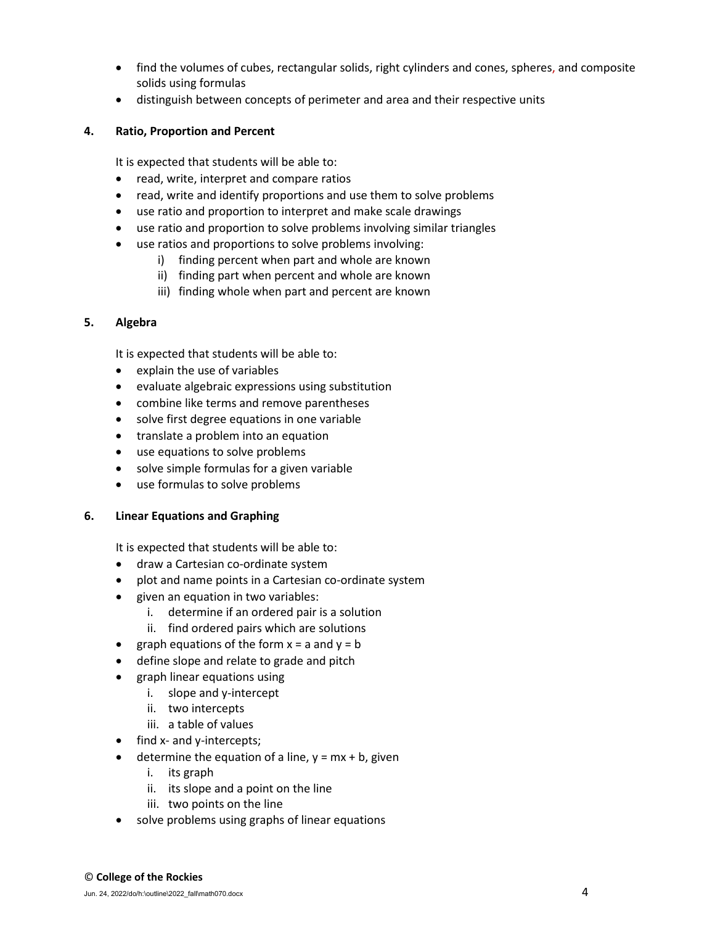- find the volumes of cubes, rectangular solids, right cylinders and cones, spheres, and composite solids using formulas
- distinguish between concepts of perimeter and area and their respective units

# **4. Ratio, Proportion and Percent**

It is expected that students will be able to:

- read, write, interpret and compare ratios
- read, write and identify proportions and use them to solve problems
- use ratio and proportion to interpret and make scale drawings
- use ratio and proportion to solve problems involving similar triangles
- use ratios and proportions to solve problems involving:
	- i) finding percent when part and whole are known
	- ii) finding part when percent and whole are known
	- iii) finding whole when part and percent are known

# **5. Algebra**

It is expected that students will be able to:

- explain the use of variables
- evaluate algebraic expressions using substitution
- combine like terms and remove parentheses
- solve first degree equations in one variable
- translate a problem into an equation
- use equations to solve problems
- solve simple formulas for a given variable
- use formulas to solve problems

# **6. Linear Equations and Graphing**

It is expected that students will be able to:

- draw a Cartesian co-ordinate system
- plot and name points in a Cartesian co-ordinate system
- given an equation in two variables:
	- i. determine if an ordered pair is a solution
	- ii. find ordered pairs which are solutions
- graph equations of the form  $x = a$  and  $y = b$
- define slope and relate to grade and pitch
- graph linear equations using
	- i. slope and y-intercept
	- ii. two intercepts
	- iii. a table of values
- find x- and y-intercepts;
- determine the equation of a line,  $y = mx + b$ , given
	- i. its graph
	- ii. its slope and a point on the line
	- iii. two points on the line
- solve problems using graphs of linear equations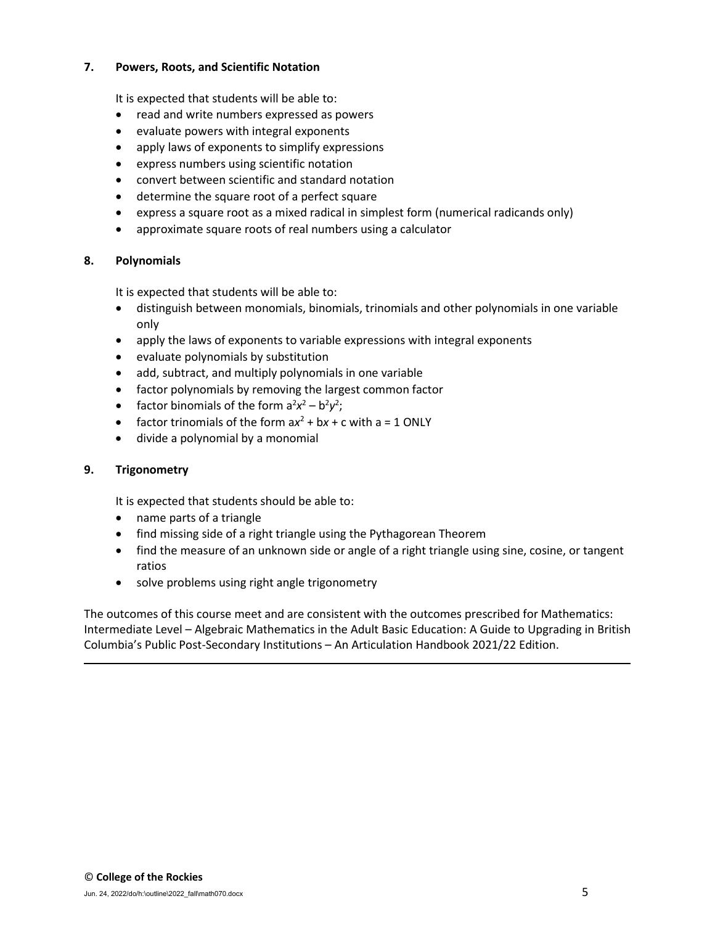# **7. Powers, Roots, and Scientific Notation**

It is expected that students will be able to:

- read and write numbers expressed as powers
- evaluate powers with integral exponents
- apply laws of exponents to simplify expressions
- express numbers using scientific notation
- convert between scientific and standard notation
- determine the square root of a perfect square
- express a square root as a mixed radical in simplest form (numerical radicands only)
- approximate square roots of real numbers using a calculator

# **8. Polynomials**

It is expected that students will be able to:

- distinguish between monomials, binomials, trinomials and other polynomials in one variable only
- apply the laws of exponents to variable expressions with integral exponents
- evaluate polynomials by substitution
- add, subtract, and multiply polynomials in one variable
- factor polynomials by removing the largest common factor
- factor binomials of the form  $a^2x^2 b^2y^2$ ;
- factor trinomials of the form  $ax^2 + bx + c$  with  $a = 1$  ONLY
- divide a polynomial by a monomial

# **9. Trigonometry**

It is expected that students should be able to:

- name parts of a triangle
- find missing side of a right triangle using the Pythagorean Theorem
- find the measure of an unknown side or angle of a right triangle using sine, cosine, or tangent ratios
- solve problems using right angle trigonometry

The outcomes of this course meet and are consistent with the outcomes prescribed for Mathematics: Intermediate Level – Algebraic Mathematics in the Adult Basic Education: A Guide to Upgrading in British Columbia's Public Post-Secondary Institutions – An Articulation Handbook 2021/22 Edition.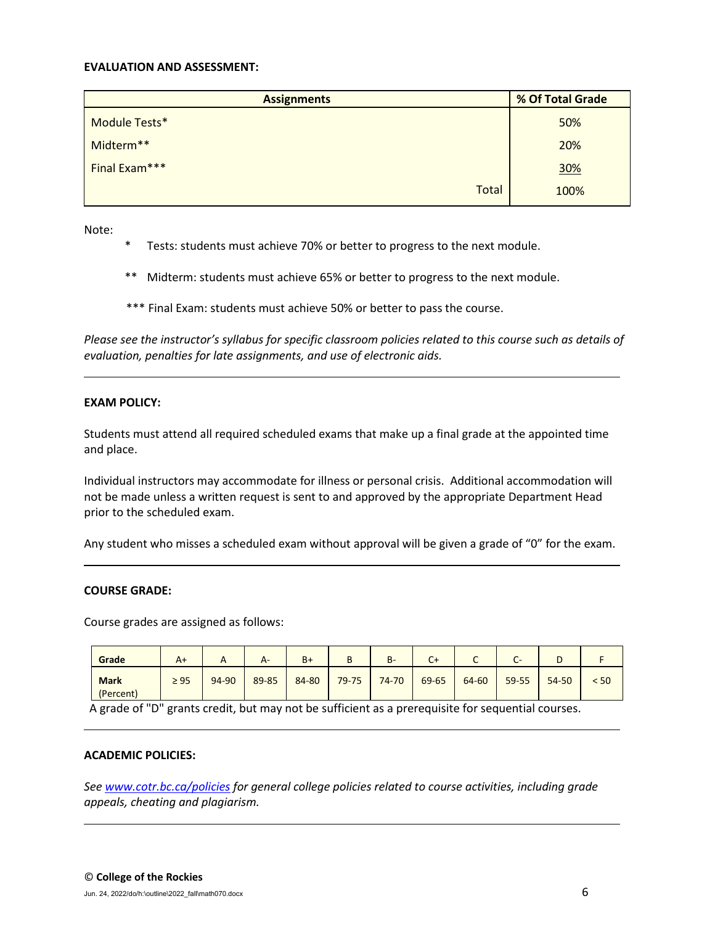#### **EVALUATION AND ASSESSMENT:**

| <b>Assignments</b> | % Of Total Grade |  |  |
|--------------------|------------------|--|--|
| Module Tests*      | 50%              |  |  |
| Midterm**          | 20%              |  |  |
| Final Exam***      | 30%              |  |  |
| <b>Total</b>       | 100%             |  |  |

Note:

- \* Tests: students must achieve 70% or better to progress to the next module.
- \*\* Midterm: students must achieve 65% or better to progress to the next module.
- \*\*\* Final Exam: students must achieve 50% or better to pass the course.

*Please see the instructor's syllabus for specific classroom policies related to this course such as details of evaluation, penalties for late assignments, and use of electronic aids.*

#### **EXAM POLICY:**

Students must attend all required scheduled exams that make up a final grade at the appointed time and place.

Individual instructors may accommodate for illness or personal crisis. Additional accommodation will not be made unless a written request is sent to and approved by the appropriate Department Head prior to the scheduled exam.

Any student who misses a scheduled exam without approval will be given a grade of "0" for the exam.

#### **COURSE GRADE:**

Course grades are assigned as follows:

| Grade                    | $A+$      |       | $A-$  | $B+$  | D         | $B -$ | $C+$  | ֊     | $\overline{\phantom{0}}$<br>CT. |       |      |
|--------------------------|-----------|-------|-------|-------|-----------|-------|-------|-------|---------------------------------|-------|------|
| <b>Mark</b><br>(Percent) | $\geq 95$ | 94-90 | 89-85 | 84-80 | $79 - 75$ | 74-70 | 69-65 | 64-60 | 59-55                           | 54-50 | < 50 |

A grade of "D" grants credit, but may not be sufficient as a prerequisite for sequential courses.

#### **ACADEMIC POLICIES:**

*See [www.cotr.bc.ca/policies](http://www.cotr.bc.ca/policies) for general college policies related to course activities, including grade appeals, cheating and plagiarism.*